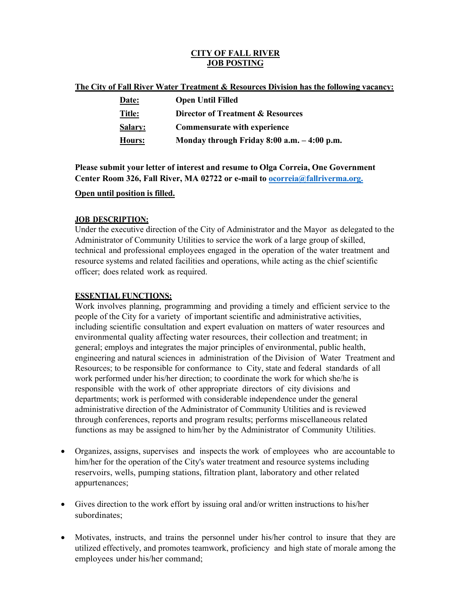### **CITY OF FALL RIVER JOB POSTING**

| The City of Fall River Water Treatment & Resources Division has the following vacancy: |
|----------------------------------------------------------------------------------------|
|----------------------------------------------------------------------------------------|

| Date:          | <b>Open Until Filled</b>                     |
|----------------|----------------------------------------------|
| <u>Title:</u>  | Director of Treatment & Resources            |
| <b>Salary:</b> | <b>Commensurate with experience</b>          |
| Hours:         | Monday through Friday 8:00 a.m. $-4:00$ p.m. |

**Please submit your letter of interest and resume to Olga Correia, One Government Center Room 326, Fall River, MA 02722 or e-mail to [ocorreia@fallriverma.org.](mailto:ocorreia@fallriverma.org.)**

### **Open until position is filled.**

# **JOB DESCRIPTION:**

Under the executive direction of the City of Administrator and the Mayor as delegated to the Administrator of Community Utilities to service the work of a large group of skilled, technical and professional employees engaged in the operation of the water treatment and resource systems and related facilities and operations, while acting as the chief scientific officer; does related work as required.

# **ESSENTIAL FUNCTIONS:**

Work involves planning, programming and providing a timely and efficient service to the people of the City for a variety of important scientific and administrative activities, including scientific consultation and expert evaluation on matters of water resources and environmental quality affecting water resources, their collection and treatment; in general; employs and integrates the major principles of environmental, public health, engineering and natural sciences in administration of the Division of Water Treatment and Resources; to be responsible for conformance to City, state and federal standards of all work performed under his/her direction; to coordinate the work for which she/he is responsible with the work of other appropriate directors of city divisions and departments; work is performed with considerable independence under the general administrative direction of the Administrator of Community Utilities and is reviewed through conferences, reports and program results; performs miscellaneous related functions as may be assigned to him/her by the Administrator of Community Utilities.

- Organizes, assigns, supervises and inspects the work of employees who are accountable to him/her for the operation of the City's water treatment and resource systems including reservoirs, wells, pumping stations, filtration plant, laboratory and other related appurtenances;
- Gives direction to the work effort by issuing oral and/or written instructions to his/her subordinates;
- Motivates, instructs, and trains the personnel under his/her control to insure that they are utilized effectively, and promotes teamwork, proficiency and high state of morale among the employees under his/her command;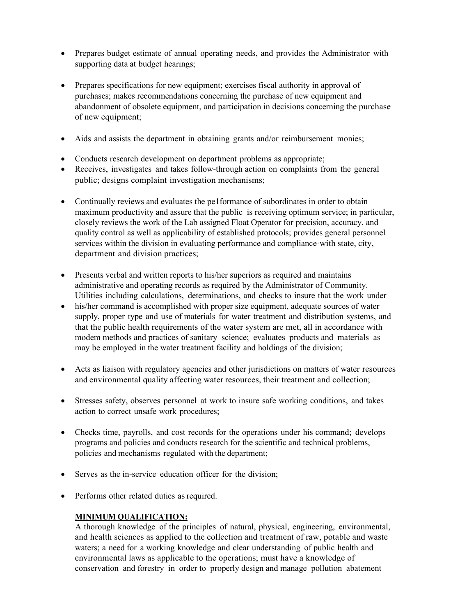- Prepares budget estimate of annual operating needs, and provides the Administrator with supporting data at budget hearings;
- Prepares specifications for new equipment; exercises fiscal authority in approval of purchases; makes recommendations concerning the purchase of new equipment and abandonment of obsolete equipment, and participation in decisions concerning the purchase of new equipment;
- Aids and assists the department in obtaining grants and/or reimbursement monies;
- Conducts research development on department problems as appropriate;
- Receives, investigates and takes follow-through action on complaints from the general public; designs complaint investigation mechanisms;
- Continually reviews and evaluates the pe1formance of subordinates in order to obtain maximum productivity and assure that the public is receiving optimum service; in particular, closely reviews the work of the Lab assigned Float Operator for precision, accuracy, and quality control as well as applicability of established protocols; provides general personnel services within the division in evaluating performance and compliance·with state, city, department and division practices;
- Presents verbal and written reports to his/her superiors as required and maintains administrative and operating records as required by the Administrator of Community. Utilities including calculations, determinations, and checks to insure that the work under
- his/her command is accomplished with proper size equipment, adequate sources of water supply, proper type and use of materials for water treatment and distribution systems, and that the public health requirements of the water system are met, all in accordance with modem methods and practices of sanitary science; evaluates products and materials as may be employed in the water treatment facility and holdings of the division;
- Acts as liaison with regulatory agencies and other jurisdictions on matters of water resources and environmental quality affecting water resources, their treatment and collection;
- Stresses safety, observes personnel at work to insure safe working conditions, and takes action to correct unsafe work procedures;
- Checks time, payrolls, and cost records for the operations under his command; develops programs and policies and conducts research for the scientific and technical problems, policies and mechanisms regulated with the department;
- Serves as the in-service education officer for the division;
- Performs other related duties as required.

# **MINIMUM QUALIFICATION:**

A thorough knowledge of the principles of natural, physical, engineering, environmental, and health sciences as applied to the collection and treatment of raw, potable and waste waters; a need for a working knowledge and clear understanding of public health and environmental laws as applicable to the operations; must have a knowledge of conservation and forestry in order to properly design and manage pollution abatement